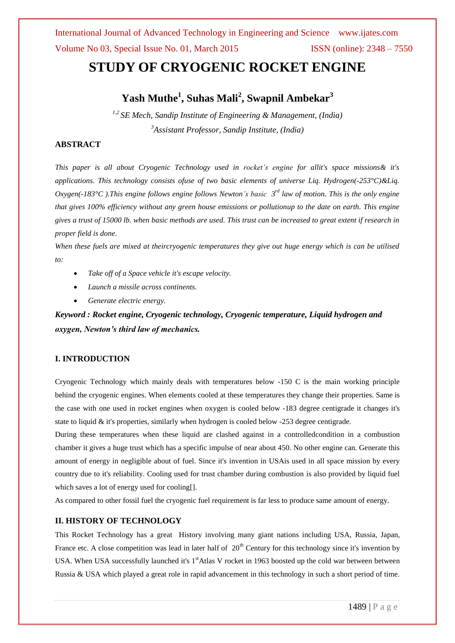International Journal of Advanced Technology in Engineering and Science www.ijates.com Volume No 03, Special Issue No. 01, March 2015 ISSN (online): 2348 – 7550

# **STUDY OF CRYOGENIC ROCKET ENGINE**

### **Yash Muthe<sup>1</sup> , Suhas Mali<sup>2</sup> , Swapnil Ambekar<sup>3</sup>**

*1,2 SE Mech, Sandip Institute of Engineering & Management, (India) <sup>3</sup>Assistant Professor, Sandip Institute, (India)*

#### **ABSTRACT**

*This paper is all about Cryogenic Technology used in rocket's engine for allit's space missions& it's applications. This technology consists ofuse of two basic elements of universe Liq. Hydrogen(-253°C)&Liq. Oxygen(-183°C ).This engine follows engine follows Newton's basic 3 rd law of motion. This is the only engine that gives 100% efficiency without any green house emissions or pollutionup to the date on earth. This engine gives a trust of 15000 lb. when basic methods are used. This trust can be increased to great extent if research in proper field is done.*

*When these fuels are mixed at theircryogenic temperatures they give out huge energy which is can be utilised to:*

- *Take off of a Space vehicle it's escape velocity.*
- *Launch a missile across continents.*
- *Generate electric energy.*

*Keyword : Rocket engine, Cryogenic technology, Cryogenic temperature, Liquid hydrogen and oxygen, Newton's third law of mechanics.*

#### **I. INTRODUCTION**

Cryogenic Technology which mainly deals with temperatures below -150 C is the main working principle behind the cryogenic engines. When elements cooled at these temperatures they change their properties. Same is the case with one used in rocket engines when oxygen is cooled below -183 degree centigrade it changes it's state to liquid & it's properties, similarly when hydrogen is cooled below -253 degree centigrade.

During these temperatures when these liquid are clashed against in a controlledcondition in a combustion chamber it gives a huge trust which has a specific impulse of near about 450. No other engine can. Generate this amount of energy in negligible about of fuel. Since it's invention in USAis used in all space mission by every country due to it's reliability. Cooling used for trust chamber during combustion is also provided by liquid fuel which saves a lot of energy used for cooling[].

As compared to other fossil fuel the cryogenic fuel requirement is far less to produce same amount of energy.

#### **II. HISTORY OF TECHNOLOGY**

This Rocket Technology has a great History involving many giant nations including USA, Russia, Japan, France etc. A close competition was lead in later half of  $20<sup>th</sup>$  Century for this technology since it's invention by USA. When USA successfully launched it's 1<sup>st</sup>Atlas V rocket in 1963 boosted up the cold war between between Russia & USA which played a great role in rapid advancement in this technology in such a short period of time.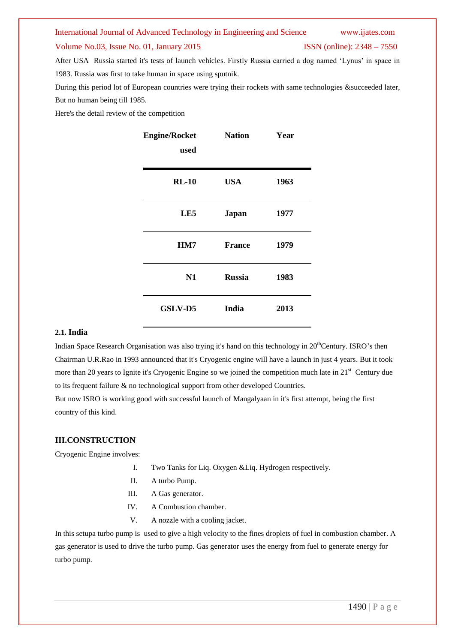#### International Journal of Advanced Technology in Engineering and Science www.ijates.com

#### Volume No.03, Issue No. 01, January 2015 ISSN (online): 2348 – 7550

After USA Russia started it's tests of launch vehicles. Firstly Russia carried a dog named 'Lynus' in space in 1983. Russia was first to take human in space using sputnik.

During this period lot of European countries were trying their rockets with same technologies &succeeded later, But no human being till 1985.

Here's the detail review of the competition

| <b>Engine/Rocket</b><br>used | <b>Nation</b> | Year |
|------------------------------|---------------|------|
| $RL-10$                      | <b>USA</b>    | 1963 |
| LE5                          | <b>Japan</b>  | 1977 |
| HM7                          | <b>France</b> | 1979 |
| N1                           | <b>Russia</b> | 1983 |
| GSLV-D5                      | India         | 2013 |

#### **2.1. India**

Indian Space Research Organisation was also trying it's hand on this technology in 20<sup>th</sup>Century. ISRO's then Chairman U.R.Rao in 1993 announced that it's Cryogenic engine will have a launch in just 4 years. But it took more than 20 years to Ignite it's Cryogenic Engine so we joined the competition much late in 21<sup>st</sup> Century due to its frequent failure & no technological support from other developed Countries.

But now ISRO is working good with successful launch of Mangalyaan in it's first attempt, being the first country of this kind.

#### **III.CONSTRUCTION**

Cryogenic Engine involves:

- I. Two Tanks for Liq. Oxygen &Liq. Hydrogen respectively.
- II. A turbo Pump.
- III. A Gas generator.
- IV. A Combustion chamber.
- V. A nozzle with a cooling jacket.

In this setupa turbo pump is used to give a high velocity to the fines droplets of fuel in combustion chamber. A gas generator is used to drive the turbo pump. Gas generator uses the energy from fuel to generate energy for turbo pump.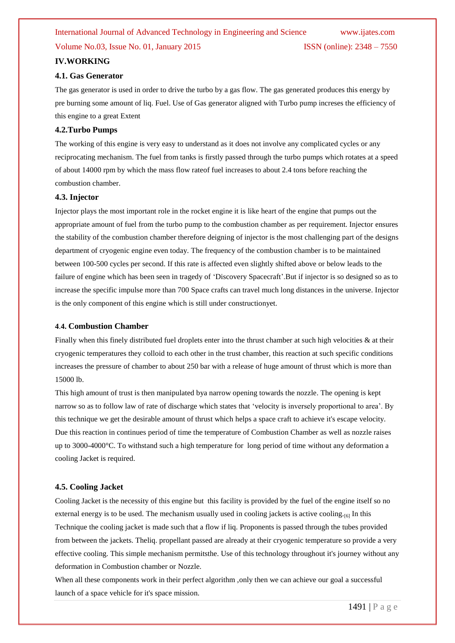### International Journal of Advanced Technology in Engineering and Science www.ijates.com Volume No.03, Issue No. 01, January 2015 ISSN (online): 2348 – 7550

#### **IV.WORKING**

#### **4.1. Gas Generator**

The gas generator is used in order to drive the turbo by a gas flow. The gas generated produces this energy by pre burning some amount of liq. Fuel. Use of Gas generator aligned with Turbo pump increses the efficiency of this engine to a great Extent

#### **4.2.Turbo Pumps**

The working of this engine is very easy to understand as it does not involve any complicated cycles or any reciprocating mechanism. The fuel from tanks is firstly passed through the turbo pumps which rotates at a speed of about 14000 rpm by which the mass flow rateof fuel increases to about 2.4 tons before reaching the combustion chamber.

#### **4.3. Injector**

Injector plays the most important role in the rocket engine it is like heart of the engine that pumps out the appropriate amount of fuel from the turbo pump to the combustion chamber as per requirement. Injector ensures the stability of the combustion chamber therefore deigning of injector is the most challenging part of the designs department of cryogenic engine even today. The frequency of the combustion chamber is to be maintained between 100-500 cycles per second. If this rate is affected even slightly shifted above or below leads to the failure of engine which has been seen in tragedy of 'Discovery Spacecraft'.But if injector is so designed so as to increase the specific impulse more than 700 Space crafts can travel much long distances in the universe. Injector is the only component of this engine which is still under constructionyet.

#### **4**.**4. Combustion Chamber**

Finally when this finely distributed fuel droplets enter into the thrust chamber at such high velocities  $\&$  at their cryogenic temperatures they colloid to each other in the trust chamber, this reaction at such specific conditions increases the pressure of chamber to about 250 bar with a release of huge amount of thrust which is more than 15000 lb.

This high amount of trust is then manipulated bya narrow opening towards the nozzle. The opening is kept narrow so as to follow law of rate of discharge which states that 'velocity is inversely proportional to area'. By this technique we get the desirable amount of thrust which helps a space craft to achieve it's escape velocity. Due this reaction in continues period of time the temperature of Combustion Chamber as well as nozzle raises up to 3000-4000°C. To withstand such a high temperature for long period of time without any deformation a cooling Jacket is required.

#### **4.5. Cooling Jacket**

Cooling Jacket is the necessity of this engine but this facility is provided by the fuel of the engine itself so no external energy is to be used. The mechanism usually used in cooling jackets is active cooling.<sup>[6]</sup> In this Technique the cooling jacket is made such that a flow if liq. Proponents is passed through the tubes provided from between the jackets. Theliq. propellant passed are already at their cryogenic temperature so provide a very effective cooling. This simple mechanism permitsthe. Use of this technology throughout it's journey without any deformation in Combustion chamber or Nozzle.

When all these components work in their perfect algorithm , only then we can achieve our goal a successful launch of a space vehicle for it's space mission.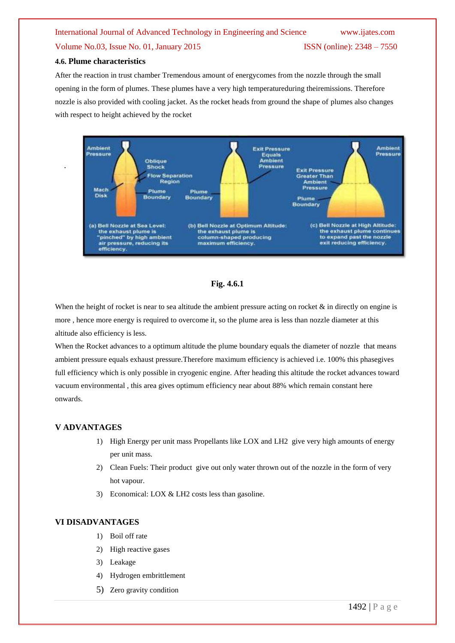## International Journal of Advanced Technology in Engineering and Science www.ijates.com Volume No.03, Issue No. 01, January 2015 ISSN (online): 2348 – 7550

#### **4.6. Plume characteristics**

After the reaction in trust chamber Tremendous amount of energycomes from the nozzle through the small opening in the form of plumes. These plumes have a very high temperatureduring theiremissions. Therefore nozzle is also provided with cooling jacket. As the rocket heads from ground the shape of plumes also changes with respect to height achieved by the rocket





When the height of rocket is near to sea altitude the ambient pressure acting on rocket  $\&$  in directly on engine is more , hence more energy is required to overcome it, so the plume area is less than nozzle diameter at this altitude also efficiency is less.

When the Rocket advances to a optimum altitude the plume boundary equals the diameter of nozzle that means ambient pressure equals exhaust pressure.Therefore maximum efficiency is achieved i.e. 100% this phasegives full efficiency which is only possible in cryogenic engine. After heading this altitude the rocket advances toward vacuum environmental , this area gives optimum efficiency near about 88% which remain constant here onwards.

#### **V ADVANTAGES**

- 1) High Energy per unit mass Propellants like LOX and LH2 give very high amounts of energy per unit mass.
- 2) Clean Fuels: Their product give out only water thrown out of the nozzle in the form of very hot vapour.
- 3) Economical: LOX & LH2 costs less than gasoline.

#### **VI DISADVANTAGES**

- 1) Boil off rate
- 2) High reactive gases
- 3) Leakage
- 4) Hydrogen embrittlement
- 5) Zero gravity condition